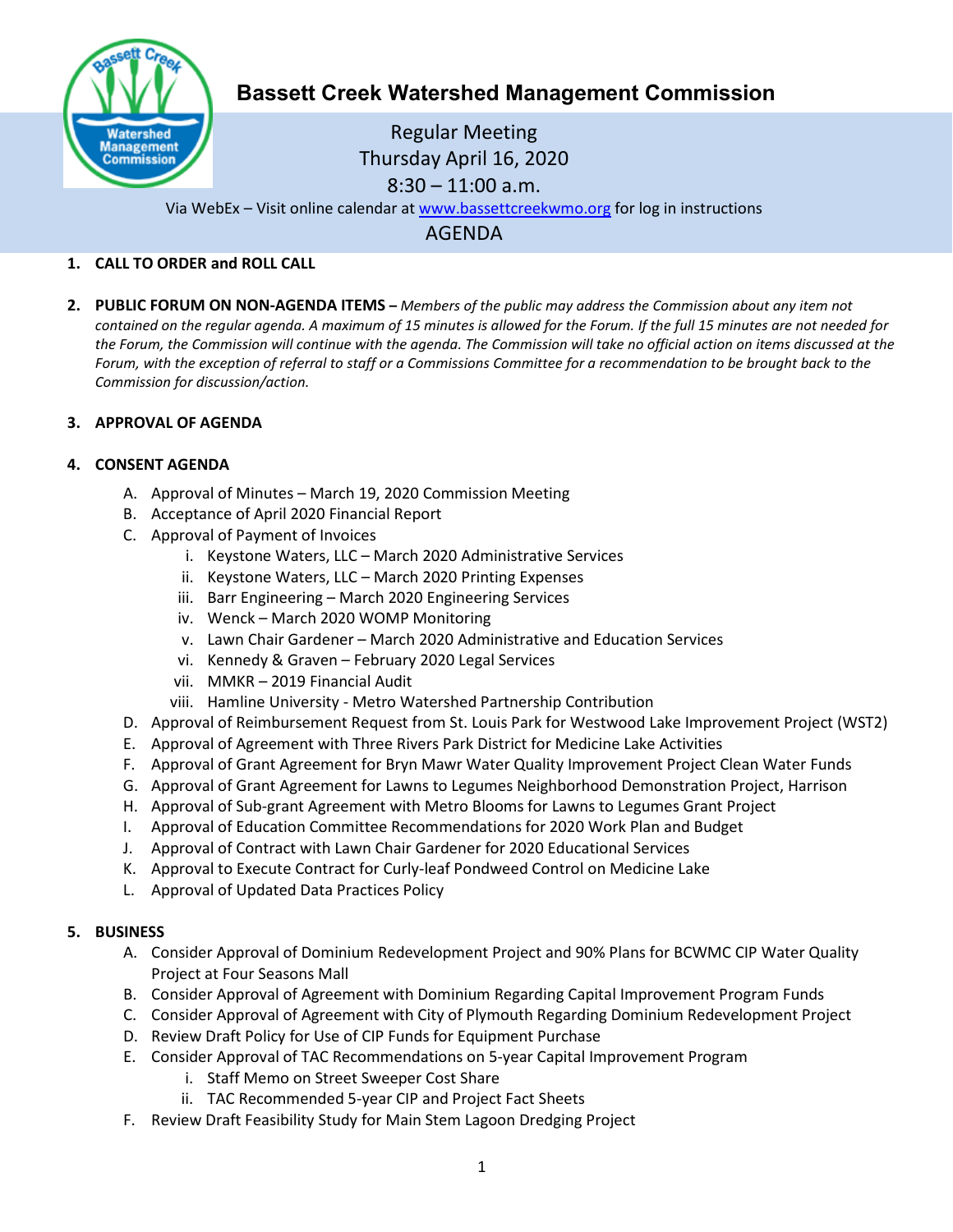

# **Bassett Creek Watershed Management Commission**

Regular Meeting Thursday April 16, 2020  $8:30 - 11:00$  a.m.

Via WebEx – Visit online calendar at [www.bassettcreekwmo.org](http://www.bassettcreekwmo.org/) for log in instructions

AGENDA

# **1. CALL TO ORDER and ROLL CALL**

**2. PUBLIC FORUM ON NON-AGENDA ITEMS –** *Members of the public may address the Commission about any item not contained on the regular agenda. A maximum of 15 minutes is allowed for the Forum. If the full 15 minutes are not needed for the Forum, the Commission will continue with the agenda. The Commission will take no official action on items discussed at the Forum, with the exception of referral to staff or a Commissions Committee for a recommendation to be brought back to the Commission for discussion/action.*

## **3. APPROVAL OF AGENDA**

## **4. CONSENT AGENDA**

- A. Approval of Minutes March 19, 2020 Commission Meeting
- B. Acceptance of April 2020 Financial Report
- C. Approval of Payment of Invoices
	- i. Keystone Waters, LLC March 2020 Administrative Services
	- ii. Keystone Waters, LLC March 2020 Printing Expenses
	- iii. Barr Engineering March 2020 Engineering Services
	- iv. Wenck March 2020 WOMP Monitoring
	- v. Lawn Chair Gardener March 2020 Administrative and Education Services
	- vi. Kennedy & Graven February 2020 Legal Services
	- vii. MMKR 2019 Financial Audit
	- viii. Hamline University Metro Watershed Partnership Contribution
- D. Approval of Reimbursement Request from St. Louis Park for Westwood Lake Improvement Project (WST2)
- E. Approval of Agreement with Three Rivers Park District for Medicine Lake Activities
- F. Approval of Grant Agreement for Bryn Mawr Water Quality Improvement Project Clean Water Funds
- G. Approval of Grant Agreement for Lawns to Legumes Neighborhood Demonstration Project, Harrison
- H. Approval of Sub-grant Agreement with Metro Blooms for Lawns to Legumes Grant Project
- I. Approval of Education Committee Recommendations for 2020 Work Plan and Budget
- J. Approval of Contract with Lawn Chair Gardener for 2020 Educational Services
- K. Approval to Execute Contract for Curly-leaf Pondweed Control on Medicine Lake
- L. Approval of Updated Data Practices Policy

#### **5. BUSINESS**

- A. Consider Approval of Dominium Redevelopment Project and 90% Plans for BCWMC CIP Water Quality Project at Four Seasons Mall
- B. Consider Approval of Agreement with Dominium Regarding Capital Improvement Program Funds
- C. Consider Approval of Agreement with City of Plymouth Regarding Dominium Redevelopment Project
- D. Review Draft Policy for Use of CIP Funds for Equipment Purchase
- E. Consider Approval of TAC Recommendations on 5-year Capital Improvement Program
	- i. Staff Memo on Street Sweeper Cost Share
	- ii. TAC Recommended 5-year CIP and Project Fact Sheets
- F. Review Draft Feasibility Study for Main Stem Lagoon Dredging Project